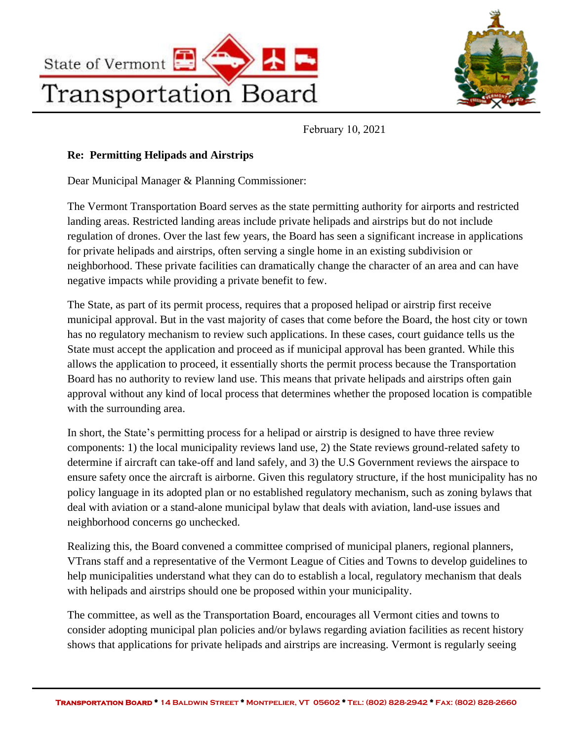



February 10, 2021

#### **Re: Permitting Helipads and Airstrips**

Dear Municipal Manager & Planning Commissioner:

The Vermont Transportation Board serves as the state permitting authority for airports and restricted landing areas. Restricted landing areas include private helipads and airstrips but do not include regulation of drones. Over the last few years, the Board has seen a significant increase in applications for private helipads and airstrips, often serving a single home in an existing subdivision or neighborhood. These private facilities can dramatically change the character of an area and can have negative impacts while providing a private benefit to few.

The State, as part of its permit process, requires that a proposed helipad or airstrip first receive municipal approval. But in the vast majority of cases that come before the Board, the host city or town has no regulatory mechanism to review such applications. In these cases, court guidance tells us the State must accept the application and proceed as if municipal approval has been granted. While this allows the application to proceed, it essentially shorts the permit process because the Transportation Board has no authority to review land use. This means that private helipads and airstrips often gain approval without any kind of local process that determines whether the proposed location is compatible with the surrounding area.

In short, the State's permitting process for a helipad or airstrip is designed to have three review components: 1) the local municipality reviews land use, 2) the State reviews ground-related safety to determine if aircraft can take-off and land safely, and 3) the U.S Government reviews the airspace to ensure safety once the aircraft is airborne. Given this regulatory structure, if the host municipality has no policy language in its adopted plan or no established regulatory mechanism, such as zoning bylaws that deal with aviation or a stand-alone municipal bylaw that deals with aviation, land-use issues and neighborhood concerns go unchecked.

Realizing this, the Board convened a committee comprised of municipal planers, regional planners, VTrans staff and a representative of the Vermont League of Cities and Towns to develop guidelines to help municipalities understand what they can do to establish a local, regulatory mechanism that deals with helipads and airstrips should one be proposed within your municipality.

The committee, as well as the Transportation Board, encourages all Vermont cities and towns to consider adopting municipal plan policies and/or bylaws regarding aviation facilities as recent history shows that applications for private helipads and airstrips are increasing. Vermont is regularly seeing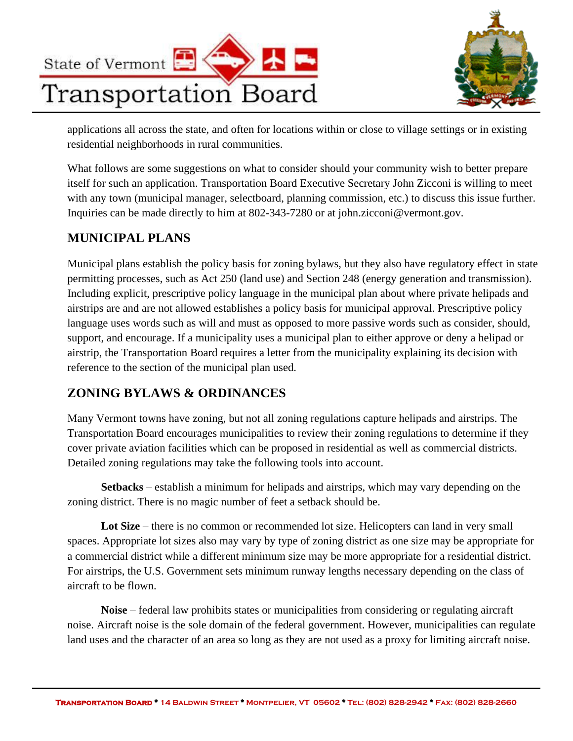



applications all across the state, and often for locations within or close to village settings or in existing residential neighborhoods in rural communities.

What follows are some suggestions on what to consider should your community wish to better prepare itself for such an application. Transportation Board Executive Secretary John Zicconi is willing to meet with any town (municipal manager, selectboard, planning commission, etc.) to discuss this issue further. Inquiries can be made directly to him at 802-343-7280 or at john.zicconi@vermont.gov.

## **MUNICIPAL PLANS**

Municipal plans establish the policy basis for zoning bylaws, but they also have regulatory effect in state permitting processes, such as Act 250 (land use) and Section 248 (energy generation and transmission). Including explicit, prescriptive policy language in the municipal plan about where private helipads and airstrips are and are not allowed establishes a policy basis for municipal approval. Prescriptive policy language uses words such as will and must as opposed to more passive words such as consider, should, support, and encourage. If a municipality uses a municipal plan to either approve or deny a helipad or airstrip, the Transportation Board requires a letter from the municipality explaining its decision with reference to the section of the municipal plan used.

## **ZONING BYLAWS & ORDINANCES**

Many Vermont towns have zoning, but not all zoning regulations capture helipads and airstrips. The Transportation Board encourages municipalities to review their zoning regulations to determine if they cover private aviation facilities which can be proposed in residential as well as commercial districts. Detailed zoning regulations may take the following tools into account.

**Setbacks** – establish a minimum for helipads and airstrips, which may vary depending on the zoning district. There is no magic number of feet a setback should be.

**Lot Size** – there is no common or recommended lot size. Helicopters can land in very small spaces. Appropriate lot sizes also may vary by type of zoning district as one size may be appropriate for a commercial district while a different minimum size may be more appropriate for a residential district. For airstrips, the U.S. Government sets minimum runway lengths necessary depending on the class of aircraft to be flown.

**Noise** – federal law prohibits states or municipalities from considering or regulating aircraft noise. Aircraft noise is the sole domain of the federal government. However, municipalities can regulate land uses and the character of an area so long as they are not used as a proxy for limiting aircraft noise.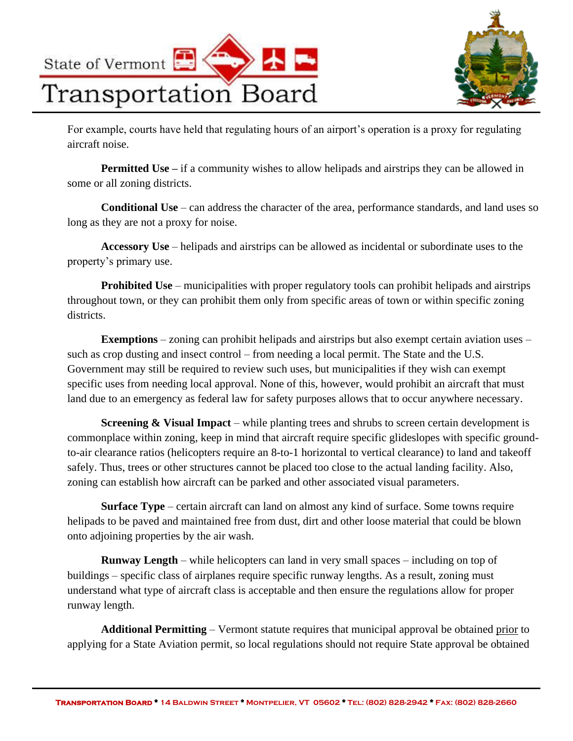



For example, courts have held that regulating hours of an airport's operation is a proxy for regulating aircraft noise.

**Permitted Use** – if a community wishes to allow helipads and airstrips they can be allowed in some or all zoning districts.

**Conditional Use** – can address the character of the area, performance standards, and land uses so long as they are not a proxy for noise.

**Accessory Use** – helipads and airstrips can be allowed as incidental or subordinate uses to the property's primary use.

**Prohibited Use** – municipalities with proper regulatory tools can prohibit helipads and airstrips throughout town, or they can prohibit them only from specific areas of town or within specific zoning districts.

**Exemptions** – zoning can prohibit helipads and airstrips but also exempt certain aviation uses – such as crop dusting and insect control – from needing a local permit. The State and the U.S. Government may still be required to review such uses, but municipalities if they wish can exempt specific uses from needing local approval. None of this, however, would prohibit an aircraft that must land due to an emergency as federal law for safety purposes allows that to occur anywhere necessary.

**Screening & Visual Impact** – while planting trees and shrubs to screen certain development is commonplace within zoning, keep in mind that aircraft require specific glideslopes with specific groundto-air clearance ratios (helicopters require an 8-to-1 horizontal to vertical clearance) to land and takeoff safely. Thus, trees or other structures cannot be placed too close to the actual landing facility. Also, zoning can establish how aircraft can be parked and other associated visual parameters.

**Surface Type** – certain aircraft can land on almost any kind of surface. Some towns require helipads to be paved and maintained free from dust, dirt and other loose material that could be blown onto adjoining properties by the air wash.

**Runway Length** – while helicopters can land in very small spaces – including on top of buildings – specific class of airplanes require specific runway lengths. As a result, zoning must understand what type of aircraft class is acceptable and then ensure the regulations allow for proper runway length.

**Additional Permitting** – Vermont statute requires that municipal approval be obtained prior to applying for a State Aviation permit, so local regulations should not require State approval be obtained